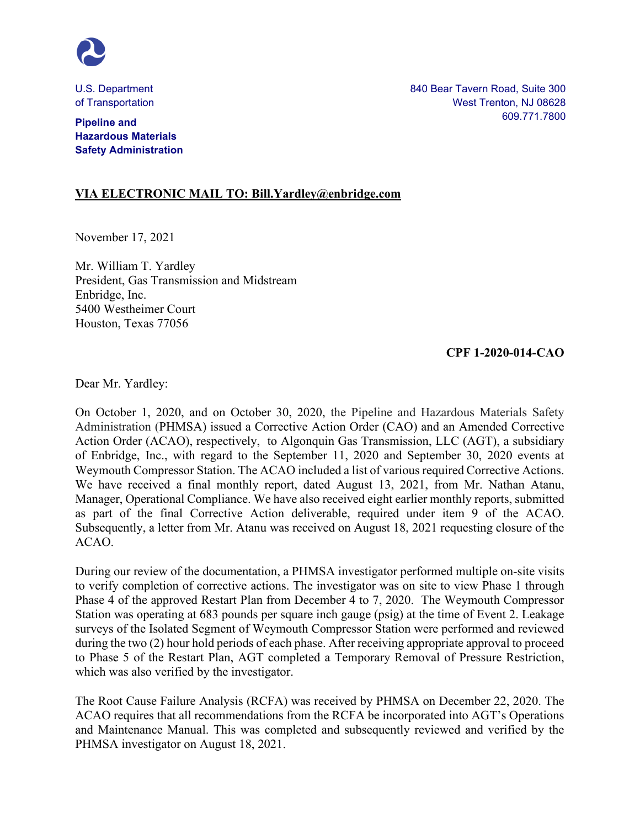

U.S. Department of Transportation

**Pipeline and Hazardous Materials Safety Administration** 840 Bear Tavern Road, Suite 300 West Trenton, NJ 08628 609.771.7800

## **VIA ELECTRONIC MAIL TO: Bill.Yardley@enbridge.com**

November 17, 2021

Mr. William T. Yardley President, Gas Transmission and Midstream Enbridge, Inc. 5400 Westheimer Court Houston, Texas 77056

## **CPF 1-2020-014-CAO**

Dear Mr. Yardley:

On October 1, 2020, and on October 30, 2020, the Pipeline and Hazardous Materials Safety Administration (PHMSA) issued a Corrective Action Order (CAO) and an Amended Corrective Action Order (ACAO), respectively, to Algonquin Gas Transmission, LLC (AGT), a subsidiary of Enbridge, Inc., with regard to the September 11, 2020 and September 30, 2020 events at Weymouth Compressor Station. The ACAO included a list of various required Corrective Actions. We have received a final monthly report, dated August 13, 2021, from Mr. Nathan Atanu, Manager, Operational Compliance. We have also received eight earlier monthly reports, submitted as part of the final Corrective Action deliverable, required under item 9 of the ACAO. Subsequently, a letter from Mr. Atanu was received on August 18, 2021 requesting closure of the ACAO.

During our review of the documentation, a PHMSA investigator performed multiple on-site visits to verify completion of corrective actions. The investigator was on site to view Phase 1 through Phase 4 of the approved Restart Plan from December 4 to 7, 2020. The Weymouth Compressor Station was operating at 683 pounds per square inch gauge (psig) at the time of Event 2. Leakage surveys of the Isolated Segment of Weymouth Compressor Station were performed and reviewed during the two (2) hour hold periods of each phase. After receiving appropriate approval to proceed to Phase 5 of the Restart Plan, AGT completed a Temporary Removal of Pressure Restriction, which was also verified by the investigator.

The Root Cause Failure Analysis (RCFA) was received by PHMSA on December 22, 2020. The ACAO requires that all recommendations from the RCFA be incorporated into AGT's Operations and Maintenance Manual. This was completed and subsequently reviewed and verified by the PHMSA investigator on August 18, 2021.